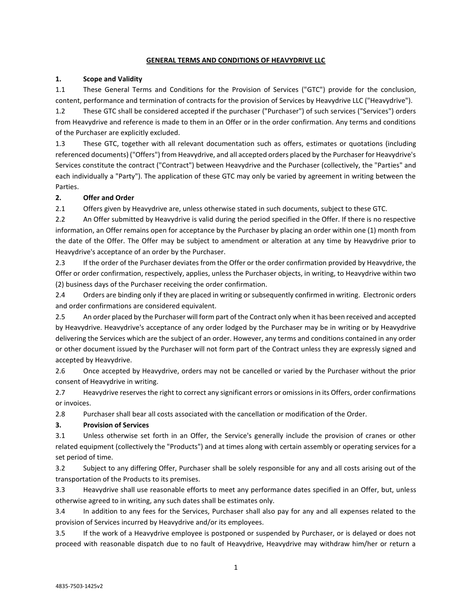#### **GENERAL TERMS AND CONDITIONS OF HEAVYDRIVE LLC**

#### **1. Scope and Validity**

1.1 These General Terms and Conditions for the Provision of Services ("GTC") provide for the conclusion, content, performance and termination of contracts for the provision of Services by Heavydrive LLC ("Heavydrive").

1.2 These GTC shall be considered accepted if the purchaser ("Purchaser") of such services ("Services") orders from Heavydrive and reference is made to them in an Offer or in the order confirmation. Any terms and conditions of the Purchaser are explicitly excluded.

1.3 These GTC, together with all relevant documentation such as offers, estimates or quotations (including referenced documents) ("Offers") from Heavydrive, and all accepted orders placed by the Purchaser for Heavydrive's Services constitute the contract ("Contract") between Heavydrive and the Purchaser (collectively, the "Parties" and each individually a "Party"). The application of these GTC may only be varied by agreement in writing between the Parties.

### **2. Offer and Order**

2.1 Offers given by Heavydrive are, unless otherwise stated in such documents, subject to these GTC.

2.2 An Offer submitted by Heavydrive is valid during the period specified in the Offer. If there is no respective information, an Offer remains open for acceptance by the Purchaser by placing an order within one (1) month from the date of the Offer. The Offer may be subject to amendment or alteration at any time by Heavydrive prior to Heavydrive's acceptance of an order by the Purchaser.

2.3 If the order of the Purchaser deviates from the Offer or the order confirmation provided by Heavydrive, the Offer or order confirmation, respectively, applies, unless the Purchaser objects, in writing, to Heavydrive within two (2) business days of the Purchaser receiving the order confirmation.

2.4 Orders are binding only if they are placed in writing or subsequently confirmed in writing. Electronic orders and order confirmations are considered equivalent.

2.5 An order placed by the Purchaser will form part of the Contract only when it has been received and accepted by Heavydrive. Heavydrive's acceptance of any order lodged by the Purchaser may be in writing or by Heavydrive delivering the Services which are the subject of an order. However, any terms and conditions contained in any order or other document issued by the Purchaser will not form part of the Contract unless they are expressly signed and accepted by Heavydrive.

2.6 Once accepted by Heavydrive, orders may not be cancelled or varied by the Purchaser without the prior consent of Heavydrive in writing.

2.7 Heavydrive reserves the right to correct any significant errors or omissions in its Offers, order confirmations or invoices.

2.8 Purchaser shall bear all costs associated with the cancellation or modification of the Order.

### **3. Provision of Services**

3.1 Unless otherwise set forth in an Offer, the Service's generally include the provision of cranes or other related equipment (collectively the "Products") and at times along with certain assembly or operating services for a set period of time.

3.2 Subject to any differing Offer, Purchaser shall be solely responsible for any and all costs arising out of the transportation of the Products to its premises.

3.3 Heavydrive shall use reasonable efforts to meet any performance dates specified in an Offer, but, unless otherwise agreed to in writing, any such dates shall be estimates only.

3.4 In addition to any fees for the Services, Purchaser shall also pay for any and all expenses related to the provision of Services incurred by Heavydrive and/or its employees.

3.5 If the work of a Heavydrive employee is postponed or suspended by Purchaser, or is delayed or does not proceed with reasonable dispatch due to no fault of Heavydrive, Heavydrive may withdraw him/her or return a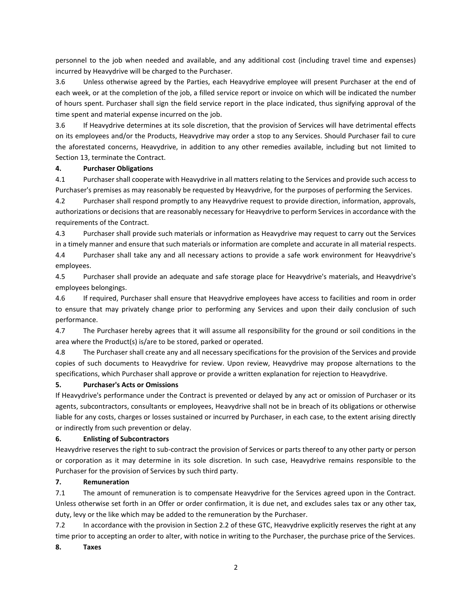personnel to the job when needed and available, and any additional cost (including travel time and expenses) incurred by Heavydrive will be charged to the Purchaser.

3.6 Unless otherwise agreed by the Parties, each Heavydrive employee will present Purchaser at the end of each week, or at the completion of the job, a filled service report or invoice on which will be indicated the number of hours spent. Purchaser shall sign the field service report in the place indicated, thus signifying approval of the time spent and material expense incurred on the job.

3.6 If Heavydrive determines at its sole discretion, that the provision of Services will have detrimental effects on its employees and/or the Products, Heavydrive may order a stop to any Services. Should Purchaser fail to cure the aforestated concerns, Heavydrive, in addition to any other remedies available, including but not limited to Section 13, terminate the Contract.

#### **4. Purchaser Obligations**

4.1 Purchaser shall cooperate with Heavydrive in all matters relating to the Services and provide such access to Purchaser's premises as may reasonably be requested by Heavydrive, for the purposes of performing the Services.

4.2 Purchaser shall respond promptly to any Heavydrive request to provide direction, information, approvals, authorizations or decisions that are reasonably necessary for Heavydrive to perform Services in accordance with the requirements of the Contract.

4.3 Purchaser shall provide such materials or information as Heavydrive may request to carry out the Services in a timely manner and ensure that such materials or information are complete and accurate in all material respects. 4.4 Purchaser shall take any and all necessary actions to provide a safe work environment for Heavydrive's employees.

4.5 Purchaser shall provide an adequate and safe storage place for Heavydrive's materials, and Heavydrive's employees belongings.

4.6 If required, Purchaser shall ensure that Heavydrive employees have access to facilities and room in order to ensure that may privately change prior to performing any Services and upon their daily conclusion of such performance.

4.7 The Purchaser hereby agrees that it will assume all responsibility for the ground or soil conditions in the area where the Product(s) is/are to be stored, parked or operated.

4.8 The Purchaser shall create any and all necessary specifications for the provision of the Services and provide copies of such documents to Heavydrive for review. Upon review, Heavydrive may propose alternations to the specifications, which Purchaser shall approve or provide a written explanation for rejection to Heavydrive.

### **5. Purchaser's Acts or Omissions**

If Heavydrive's performance under the Contract is prevented or delayed by any act or omission of Purchaser or its agents, subcontractors, consultants or employees, Heavydrive shall not be in breach of its obligations or otherwise liable for any costs, charges or losses sustained or incurred by Purchaser, in each case, to the extent arising directly or indirectly from such prevention or delay.

### **6. Enlisting of Subcontractors**

Heavydrive reserves the right to sub-contract the provision of Services or parts thereof to any other party or person or corporation as it may determine in its sole discretion. In such case, Heavydrive remains responsible to the Purchaser for the provision of Services by such third party.

### **7. Remuneration**

7.1 The amount of remuneration is to compensate Heavydrive for the Services agreed upon in the Contract. Unless otherwise set forth in an Offer or order confirmation, it is due net, and excludes sales tax or any other tax, duty, levy or the like which may be added to the remuneration by the Purchaser.

7.2 In accordance with the provision in Section 2.2 of these GTC, Heavydrive explicitly reserves the right at any time prior to accepting an order to alter, with notice in writing to the Purchaser, the purchase price of the Services.

### **8. Taxes**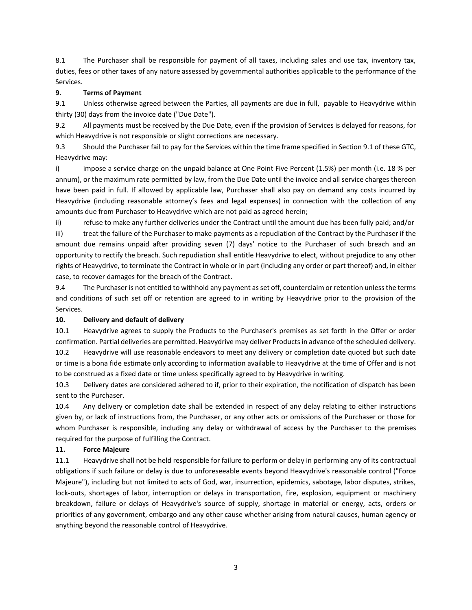8.1 The Purchaser shall be responsible for payment of all taxes, including sales and use tax, inventory tax, duties, fees or other taxes of any nature assessed by governmental authorities applicable to the performance of the Services.

## **9. Terms of Payment**

9.1 Unless otherwise agreed between the Parties, all payments are due in full, payable to Heavydrive within thirty (30) days from the invoice date ("Due Date").

9.2 All payments must be received by the Due Date, even if the provision of Services is delayed for reasons, for which Heavydrive is not responsible or slight corrections are necessary.

9.3 Should the Purchaser fail to pay for the Services within the time frame specified in Section 9.1 of these GTC, Heavydrive may:

i) impose a service charge on the unpaid balance at One Point Five Percent (1.5%) per month (i.e. 18 % per annum), or the maximum rate permitted by law, from the Due Date until the invoice and all service charges thereon have been paid in full. If allowed by applicable law, Purchaser shall also pay on demand any costs incurred by Heavydrive (including reasonable attorney's fees and legal expenses) in connection with the collection of any amounts due from Purchaser to Heavydrive which are not paid as agreed herein;

ii) refuse to make any further deliveries under the Contract until the amount due has been fully paid; and/or iii) treat the failure of the Purchaser to make payments as a repudiation of the Contract by the Purchaser if the amount due remains unpaid after providing seven (7) days' notice to the Purchaser of such breach and an opportunity to rectify the breach. Such repudiation shall entitle Heavydrive to elect, without prejudice to any other rights of Heavydrive, to terminate the Contract in whole or in part (including any order or part thereof) and, in either case, to recover damages for the breach of the Contract.

9.4 The Purchaser is not entitled to withhold any payment as set off, counterclaim or retention unless the terms and conditions of such set off or retention are agreed to in writing by Heavydrive prior to the provision of the Services.

### **10. Delivery and default of delivery**

10.1 Heavydrive agrees to supply the Products to the Purchaser's premises as set forth in the Offer or order confirmation. Partial deliveries are permitted. Heavydrive may deliver Products in advance of the scheduled delivery. 10.2 Heavydrive will use reasonable endeavors to meet any delivery or completion date quoted but such date or time is a bona fide estimate only according to information available to Heavydrive at the time of Offer and is not to be construed as a fixed date or time unless specifically agreed to by Heavydrive in writing.

10.3 Delivery dates are considered adhered to if, prior to their expiration, the notification of dispatch has been sent to the Purchaser.

10.4 Any delivery or completion date shall be extended in respect of any delay relating to either instructions given by, or lack of instructions from, the Purchaser, or any other acts or omissions of the Purchaser or those for whom Purchaser is responsible, including any delay or withdrawal of access by the Purchaser to the premises required for the purpose of fulfilling the Contract.

# **11. Force Majeure**

11.1 Heavydrive shall not be held responsible for failure to perform or delay in performing any of its contractual obligations if such failure or delay is due to unforeseeable events beyond Heavydrive's reasonable control ("Force Majeure"), including but not limited to acts of God, war, insurrection, epidemics, sabotage, labor disputes, strikes, lock-outs, shortages of labor, interruption or delays in transportation, fire, explosion, equipment or machinery breakdown, failure or delays of Heavydrive's source of supply, shortage in material or energy, acts, orders or priorities of any government, embargo and any other cause whether arising from natural causes, human agency or anything beyond the reasonable control of Heavydrive.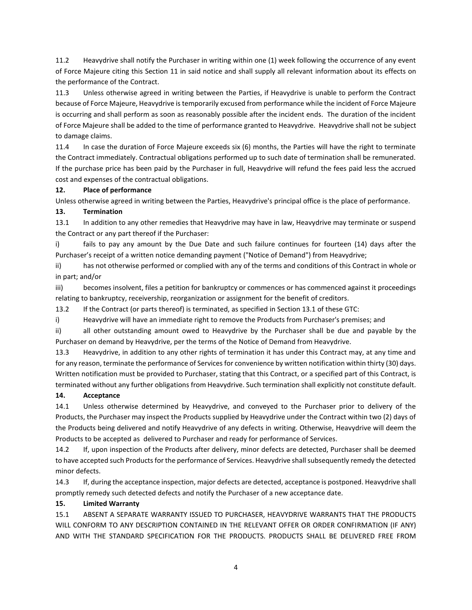11.2 Heavydrive shall notify the Purchaser in writing within one (1) week following the occurrence of any event of Force Majeure citing this Section 11 in said notice and shall supply all relevant information about its effects on the performance of the Contract.

11.3 Unless otherwise agreed in writing between the Parties, if Heavydrive is unable to perform the Contract because of Force Majeure, Heavydrive is temporarily excused from performance while the incident of Force Majeure is occurring and shall perform as soon as reasonably possible after the incident ends. The duration of the incident of Force Majeure shall be added to the time of performance granted to Heavydrive. Heavydrive shall not be subject to damage claims.

11.4 In case the duration of Force Majeure exceeds six (6) months, the Parties will have the right to terminate the Contract immediately. Contractual obligations performed up to such date of termination shall be remunerated. If the purchase price has been paid by the Purchaser in full, Heavydrive will refund the fees paid less the accrued cost and expenses of the contractual obligations.

### **12. Place of performance**

Unless otherwise agreed in writing between the Parties, Heavydrive's principal office is the place of performance.

### **13. Termination**

13.1 In addition to any other remedies that Heavydrive may have in law, Heavydrive may terminate or suspend the Contract or any part thereof if the Purchaser:

i) fails to pay any amount by the Due Date and such failure continues for fourteen (14) days after the Purchaser's receipt of a written notice demanding payment ("Notice of Demand") from Heavydrive;

ii) has not otherwise performed or complied with any of the terms and conditions of this Contract in whole or in part; and/or

iii) becomes insolvent, files a petition for bankruptcy or commences or has commenced against it proceedings relating to bankruptcy, receivership, reorganization or assignment for the benefit of creditors.

13.2 If the Contract (or parts thereof) is terminated, as specified in Section 13.1 of these GTC:

i) Heavydrive will have an immediate right to remove the Products from Purchaser's premises; and

ii) all other outstanding amount owed to Heavydrive by the Purchaser shall be due and payable by the Purchaser on demand by Heavydrive, per the terms of the Notice of Demand from Heavydrive.

13.3 Heavydrive, in addition to any other rights of termination it has under this Contract may, at any time and for any reason, terminate the performance of Services for convenience by written notification within thirty (30) days. Written notification must be provided to Purchaser, stating that this Contract, or a specified part of this Contract, is terminated without any further obligations from Heavydrive. Such termination shall explicitly not constitute default.

### **14. Acceptance**

14.1 Unless otherwise determined by Heavydrive, and conveyed to the Purchaser prior to delivery of the Products, the Purchaser may inspect the Products supplied by Heavydrive under the Contract within two (2) days of the Products being delivered and notify Heavydrive of any defects in writing. Otherwise, Heavydrive will deem the Products to be accepted as delivered to Purchaser and ready for performance of Services.

14.2 If, upon inspection of the Products after delivery, minor defects are detected, Purchaser shall be deemed to have accepted such Products for the performance of Services. Heavydrive shall subsequently remedy the detected minor defects.

14.3 If, during the acceptance inspection, major defects are detected, acceptance is postponed. Heavydrive shall promptly remedy such detected defects and notify the Purchaser of a new acceptance date.

# **15. Limited Warranty**

15.1 ABSENT A SEPARATE WARRANTY ISSUED TO PURCHASER, HEAVYDRIVE WARRANTS THAT THE PRODUCTS WILL CONFORM TO ANY DESCRIPTION CONTAINED IN THE RELEVANT OFFER OR ORDER CONFIRMATION (IF ANY) AND WITH THE STANDARD SPECIFICATION FOR THE PRODUCTS. PRODUCTS SHALL BE DELIVERED FREE FROM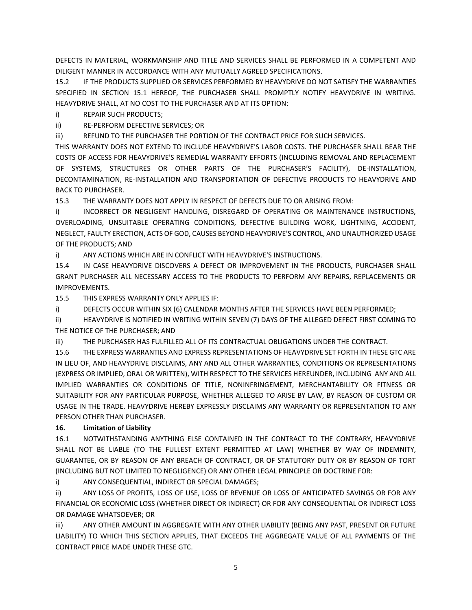DEFECTS IN MATERIAL, WORKMANSHIP AND TITLE AND SERVICES SHALL BE PERFORMED IN A COMPETENT AND DILIGENT MANNER IN ACCORDANCE WITH ANY MUTUALLY AGREED SPECIFICATIONS.

15.2 IF THE PRODUCTS SUPPLIED OR SERVICES PERFORMED BY HEAVYDRIVE DO NOT SATISFY THE WARRANTIES SPECIFIED IN SECTION 15.1 HEREOF, THE PURCHASER SHALL PROMPTLY NOTIFY HEAVYDRIVE IN WRITING. HEAVYDRIVE SHALL, AT NO COST TO THE PURCHASER AND AT ITS OPTION:

i) REPAIR SUCH PRODUCTS;

ii) RE-PERFORM DEFECTIVE SERVICES; OR

iii) REFUND TO THE PURCHASER THE PORTION OF THE CONTRACT PRICE FOR SUCH SERVICES.

THIS WARRANTY DOES NOT EXTEND TO INCLUDE HEAVYDRIVE'S LABOR COSTS. THE PURCHASER SHALL BEAR THE COSTS OF ACCESS FOR HEAVYDRIVE'S REMEDIAL WARRANTY EFFORTS (INCLUDING REMOVAL AND REPLACEMENT OF SYSTEMS, STRUCTURES OR OTHER PARTS OF THE PURCHASER'S FACILITY), DE-INSTALLATION, DECONTAMINATION, RE-INSTALLATION AND TRANSPORTATION OF DEFECTIVE PRODUCTS TO HEAVYDRIVE AND BACK TO PURCHASER.

15.3 THE WARRANTY DOES NOT APPLY IN RESPECT OF DEFECTS DUE TO OR ARISING FROM:

i) INCORRECT OR NEGLIGENT HANDLING, DISREGARD OF OPERATING OR MAINTENANCE INSTRUCTIONS, OVERLOADING, UNSUITABLE OPERATING CONDITIONS, DEFECTIVE BUILDING WORK, LIGHTNING, ACCIDENT, NEGLECT, FAULTY ERECTION, ACTS OF GOD, CAUSES BEYOND HEAVYDRIVE'S CONTROL, AND UNAUTHORIZED USAGE OF THE PRODUCTS; AND

i) ANY ACTIONS WHICH ARE IN CONFLICT WITH HEAVYDRIVE'S INSTRUCTIONS.

15.4 IN CASE HEAVYDRIVE DISCOVERS A DEFECT OR IMPROVEMENT IN THE PRODUCTS, PURCHASER SHALL GRANT PURCHASER ALL NECESSARY ACCESS TO THE PRODUCTS TO PERFORM ANY REPAIRS, REPLACEMENTS OR IMPROVEMENTS.

15.5 THIS EXPRESS WARRANTY ONLY APPLIES IF:

i) DEFECTS OCCUR WITHIN SIX (6) CALENDAR MONTHS AFTER THE SERVICES HAVE BEEN PERFORMED;

ii) HEAVYDRIVE IS NOTIFIED IN WRITING WITHIN SEVEN (7) DAYS OF THE ALLEGED DEFECT FIRST COMING TO THE NOTICE OF THE PURCHASER; AND

iii) THE PURCHASER HAS FULFILLED ALL OF ITS CONTRACTUAL OBLIGATIONS UNDER THE CONTRACT.

15.6 THE EXPRESS WARRANTIES AND EXPRESS REPRESENTATIONS OF HEAVYDRIVE SET FORTH IN THESE GTC ARE IN LIEU OF, AND HEAVYDRIVE DISCLAIMS, ANY AND ALL OTHER WARRANTIES, CONDITIONS OR REPRESENTATIONS (EXPRESS OR IMPLIED, ORAL OR WRITTEN), WITH RESPECT TO THE SERVICES HEREUNDER, INCLUDING ANY AND ALL IMPLIED WARRANTIES OR CONDITIONS OF TITLE, NONINFRINGEMENT, MERCHANTABILITY OR FITNESS OR SUITABILITY FOR ANY PARTICULAR PURPOSE, WHETHER ALLEGED TO ARISE BY LAW, BY REASON OF CUSTOM OR USAGE IN THE TRADE. HEAVYDRIVE HEREBY EXPRESSLY DISCLAIMS ANY WARRANTY OR REPRESENTATION TO ANY PERSON OTHER THAN PURCHASER.

# **16. Limitation of Liability**

16.1 NOTWITHSTANDING ANYTHING ELSE CONTAINED IN THE CONTRACT TO THE CONTRARY, HEAVYDRIVE SHALL NOT BE LIABLE (TO THE FULLEST EXTENT PERMITTED AT LAW) WHETHER BY WAY OF INDEMNITY, GUARANTEE, OR BY REASON OF ANY BREACH OF CONTRACT, OR OF STATUTORY DUTY OR BY REASON OF TORT (INCLUDING BUT NOT LIMITED TO NEGLIGENCE) OR ANY OTHER LEGAL PRINCIPLE OR DOCTRINE FOR:

i) ANY CONSEQUENTIAL, INDIRECT OR SPECIAL DAMAGES;

ii) ANY LOSS OF PROFITS, LOSS OF USE, LOSS OF REVENUE OR LOSS OF ANTICIPATED SAVINGS OR FOR ANY FINANCIAL OR ECONOMIC LOSS (WHETHER DIRECT OR INDIRECT) OR FOR ANY CONSEQUENTIAL OR INDIRECT LOSS OR DAMAGE WHATSOEVER; OR

iii) ANY OTHER AMOUNT IN AGGREGATE WITH ANY OTHER LIABILITY (BEING ANY PAST, PRESENT OR FUTURE LIABILITY) TO WHICH THIS SECTION APPLIES, THAT EXCEEDS THE AGGREGATE VALUE OF ALL PAYMENTS OF THE CONTRACT PRICE MADE UNDER THESE GTC.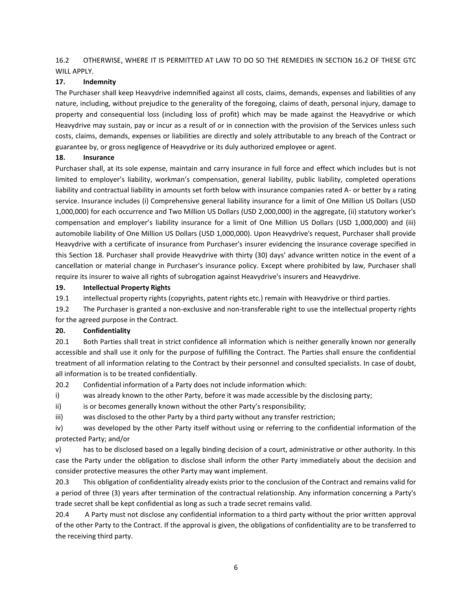16.2 OTHERWISE, WHERE IT IS PERMITTED AT LAW TO DO SO THE REMEDIES IN SECTION 16.2 OF THESE GTC WILL APPLY.

#### **17. Indemnity**

The Purchaser shall keep Heavydrive indemnified against all costs, claims, demands, expenses and liabilities of any nature, including, without prejudice to the generality of the foregoing, claims of death, personal injury, damage to property and consequential loss (including loss of profit) which may be made against the Heavydrive or which Heavydrive may sustain, pay or incur as a result of or in connection with the provision of the Services unless such costs, claims, demands, expenses or liabilities are directly and solely attributable to any breach of the Contract or guarantee by, or gross negligence of Heavydrive or its duly authorized employee or agent.

#### **18. Insurance**

Purchaser shall, at its sole expense, maintain and carry insurance in full force and effect which includes but is not limited to employer's liability, workman's compensation, general liability, public liability, completed operations liability and contractual liability in amounts set forth below with insurance companies rated A- or better by a rating service. Insurance includes (i) Comprehensive general liability insurance for a limit of One Million US Dollars (USD 1,000,000) for each occurrence and Two Million US Dollars (USD 2,000,000) in the aggregate, (ii) statutory worker's compensation and employer's liability insurance for a limit of One Million US Dollars (USD 1,000,000) and (iii) automobile liability of One Million US Dollars (USD 1,000,000). Upon Heavydrive's request, Purchaser shall provide Heavydrive with a certificate of insurance from Purchaser's insurer evidencing the insurance coverage specified in this Section 18. Purchaser shall provide Heavydrive with thirty (30) days' advance written notice in the event of a cancellation or material change in Purchaser's insurance policy. Except where prohibited by law, Purchaser shall require its insurer to waive all rights of subrogation against Heavydrive's insurers and Heavydrive.

#### **19. Intellectual Property Rights**

19.1 intellectual property rights (copyrights, patent rights etc.) remain with Heavydrive or third parties.

19.2 The Purchaser is granted a non-exclusive and non-transferable right to use the intellectual property rights for the agreed purpose in the Contract.

### **20. Confidentiality**

20.1 Both Parties shall treat in strict confidence all information which is neither generally known nor generally accessible and shall use it only for the purpose of fulfilling the Contract. The Parties shall ensure the confidential treatment of all information relating to the Contract by their personnel and consulted specialists. In case of doubt, all information is to be treated confidentially.

20.2 Confidential information of a Party does not include information which:

i) was already known to the other Party, before it was made accessible by the disclosing party;

ii) is or becomes generally known without the other Party's responsibility;

iii) was disclosed to the other Party by a third party without any transfer restriction;

iv) was developed by the other Party itself without using or referring to the confidential information of the protected Party; and/or

v) has to be disclosed based on a legally binding decision of a court, administrative or other authority. In this case the Party under the obligation to disclose shall inform the other Party immediately about the decision and consider protective measures the other Party may want implement.

20.3 This obligation of confidentiality already exists prior to the conclusion of the Contract and remains valid for a period of three (3) years after termination of the contractual relationship. Any information concerning a Party's trade secret shall be kept confidential as long as such a trade secret remains valid.

20.4 A Party must not disclose any confidential information to a third party without the prior written approval of the other Party to the Contract. If the approval is given, the obligations of confidentiality are to be transferred to the receiving third party.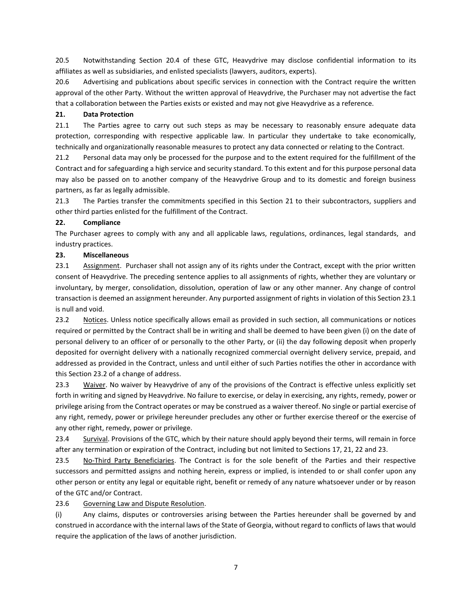20.5 Notwithstanding Section 20.4 of these GTC, Heavydrive may disclose confidential information to its affiliates as well as subsidiaries, and enlisted specialists (lawyers, auditors, experts).

20.6 Advertising and publications about specific services in connection with the Contract require the written approval of the other Party. Without the written approval of Heavydrive, the Purchaser may not advertise the fact that a collaboration between the Parties exists or existed and may not give Heavydrive as a reference.

### **21. Data Protection**

21.1 The Parties agree to carry out such steps as may be necessary to reasonably ensure adequate data protection, corresponding with respective applicable law. In particular they undertake to take economically, technically and organizationally reasonable measures to protect any data connected or relating to the Contract.

21.2 Personal data may only be processed for the purpose and to the extent required for the fulfillment of the Contract and for safeguarding a high service and security standard. To this extent and for this purpose personal data may also be passed on to another company of the Heavydrive Group and to its domestic and foreign business partners, as far as legally admissible.

21.3 The Parties transfer the commitments specified in this Section 21 to their subcontractors, suppliers and other third parties enlisted for the fulfillment of the Contract.

### **22. Compliance**

The Purchaser agrees to comply with any and all applicable laws, regulations, ordinances, legal standards, and industry practices.

### **23. Miscellaneous**

23.1 Assignment. Purchaser shall not assign any of its rights under the Contract, except with the prior written consent of Heavydrive. The preceding sentence applies to all assignments of rights, whether they are voluntary or involuntary, by merger, consolidation, dissolution, operation of law or any other manner. Any change of control transaction is deemed an assignment hereunder. Any purported assignment of rights in violation of this Section 23.1 is null and void.

23.2 Notices. Unless notice specifically allows email as provided in such section, all communications or notices required or permitted by the Contract shall be in writing and shall be deemed to have been given (i) on the date of personal delivery to an officer of or personally to the other Party, or (ii) the day following deposit when properly deposited for overnight delivery with a nationally recognized commercial overnight delivery service, prepaid, and addressed as provided in the Contract, unless and until either of such Parties notifies the other in accordance with this Section 23.2 of a change of address.

23.3 Waiver. No waiver by Heavydrive of any of the provisions of the Contract is effective unless explicitly set forth in writing and signed by Heavydrive. No failure to exercise, or delay in exercising, any rights, remedy, power or privilege arising from the Contract operates or may be construed as a waiver thereof. No single or partial exercise of any right, remedy, power or privilege hereunder precludes any other or further exercise thereof or the exercise of any other right, remedy, power or privilege.

23.4 Survival. Provisions of the GTC, which by their nature should apply beyond their terms, will remain in force after any termination or expiration of the Contract, including but not limited to Sections 17, 21, 22 and 23.

23.5 No-Third Party Beneficiaries. The Contract is for the sole benefit of the Parties and their respective successors and permitted assigns and nothing herein, express or implied, is intended to or shall confer upon any other person or entity any legal or equitable right, benefit or remedy of any nature whatsoever under or by reason of the GTC and/or Contract.

23.6 Governing Law and Dispute Resolution.

(i) Any claims, disputes or controversies arising between the Parties hereunder shall be governed by and construed in accordance with the internal laws of the State of Georgia, without regard to conflicts of laws that would require the application of the laws of another jurisdiction.